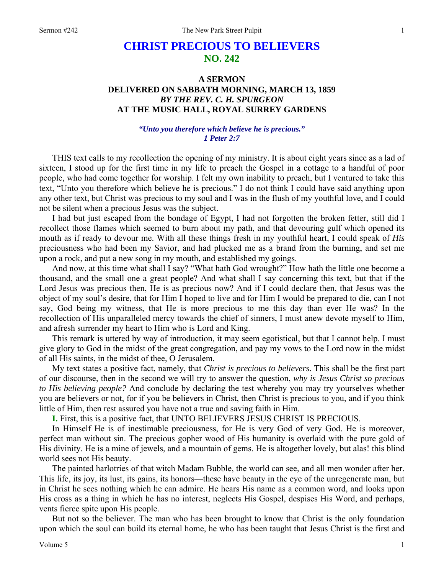## **CHRIST PRECIOUS TO BELIEVERS NO. 242**

## **A SERMON DELIVERED ON SABBATH MORNING, MARCH 13, 1859**  *BY THE REV. C. H. SPURGEON*  **AT THE MUSIC HALL, ROYAL SURREY GARDENS**

## *"Unto you therefore which believe he is precious." 1 Peter 2:7*

THIS text calls to my recollection the opening of my ministry. It is about eight years since as a lad of sixteen, I stood up for the first time in my life to preach the Gospel in a cottage to a handful of poor people, who had come together for worship. I felt my own inability to preach, but I ventured to take this text, "Unto you therefore which believe he is precious." I do not think I could have said anything upon any other text, but Christ was precious to my soul and I was in the flush of my youthful love, and I could not be silent when a precious Jesus was the subject.

I had but just escaped from the bondage of Egypt, I had not forgotten the broken fetter, still did I recollect those flames which seemed to burn about my path, and that devouring gulf which opened its mouth as if ready to devour me. With all these things fresh in my youthful heart, I could speak of *His* preciousness who had been my Savior, and had plucked me as a brand from the burning, and set me upon a rock, and put a new song in my mouth, and established my goings.

And now, at this time what shall I say? "What hath God wrought?" How hath the little one become a thousand, and the small one a great people? And what shall I say concerning this text, but that if the Lord Jesus was precious then, He is as precious now? And if I could declare then, that Jesus was the object of my soul's desire, that for Him I hoped to live and for Him I would be prepared to die, can I not say, God being my witness, that He is more precious to me this day than ever He was? In the recollection of His unparalleled mercy towards the chief of sinners, I must anew devote myself to Him, and afresh surrender my heart to Him who is Lord and King.

This remark is uttered by way of introduction, it may seem egotistical, but that I cannot help. I must give glory to God in the midst of the great congregation, and pay my vows to the Lord now in the midst of all His saints, in the midst of thee, O Jerusalem.

My text states a positive fact, namely, that *Christ is precious to believers*. This shall be the first part of our discourse, then in the second we will try to answer the question, *why is Jesus Christ so precious to His believing people?* And conclude by declaring the test whereby you may try yourselves whether you are believers or not, for if you be believers in Christ, then Christ is precious to you, and if you think little of Him, then rest assured you have not a true and saving faith in Him.

**I.** First, this is a positive fact, that UNTO BELIEVERS JESUS CHRIST IS PRECIOUS.

In Himself He is of inestimable preciousness, for He is very God of very God. He is moreover, perfect man without sin. The precious gopher wood of His humanity is overlaid with the pure gold of His divinity. He is a mine of jewels, and a mountain of gems. He is altogether lovely, but alas! this blind world sees not His beauty.

The painted harlotries of that witch Madam Bubble, the world can see, and all men wonder after her. This life, its joy, its lust, its gains, its honors—these have beauty in the eye of the unregenerate man, but in Christ he sees nothing which he can admire. He hears His name as a common word, and looks upon His cross as a thing in which he has no interest, neglects His Gospel, despises His Word, and perhaps, vents fierce spite upon His people.

But not so the believer. The man who has been brought to know that Christ is the only foundation upon which the soul can build its eternal home, he who has been taught that Jesus Christ is the first and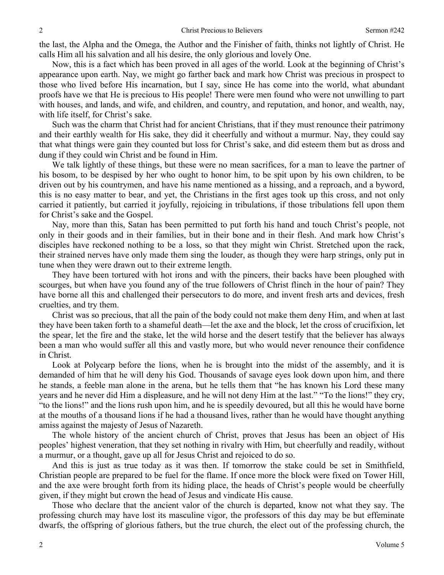the last, the Alpha and the Omega, the Author and the Finisher of faith, thinks not lightly of Christ. He calls Him all his salvation and all his desire, the only glorious and lovely One.

Now, this is a fact which has been proved in all ages of the world. Look at the beginning of Christ's appearance upon earth. Nay, we might go farther back and mark how Christ was precious in prospect to those who lived before His incarnation, but I say, since He has come into the world, what abundant proofs have we that He is precious to His people! There were men found who were not unwilling to part with houses, and lands, and wife, and children, and country, and reputation, and honor, and wealth, nay, with life itself, for Christ's sake.

Such was the charm that Christ had for ancient Christians, that if they must renounce their patrimony and their earthly wealth for His sake, they did it cheerfully and without a murmur. Nay, they could say that what things were gain they counted but loss for Christ's sake, and did esteem them but as dross and dung if they could win Christ and be found in Him.

We talk lightly of these things, but these were no mean sacrifices, for a man to leave the partner of his bosom, to be despised by her who ought to honor him, to be spit upon by his own children, to be driven out by his countrymen, and have his name mentioned as a hissing, and a reproach, and a byword, this is no easy matter to bear, and yet, the Christians in the first ages took up this cross, and not only carried it patiently, but carried it joyfully, rejoicing in tribulations, if those tribulations fell upon them for Christ's sake and the Gospel.

Nay, more than this, Satan has been permitted to put forth his hand and touch Christ's people, not only in their goods and in their families, but in their bone and in their flesh. And mark how Christ's disciples have reckoned nothing to be a loss, so that they might win Christ. Stretched upon the rack, their strained nerves have only made them sing the louder, as though they were harp strings, only put in tune when they were drawn out to their extreme length.

They have been tortured with hot irons and with the pincers, their backs have been ploughed with scourges, but when have you found any of the true followers of Christ flinch in the hour of pain? They have borne all this and challenged their persecutors to do more, and invent fresh arts and devices, fresh cruelties, and try them.

Christ was so precious, that all the pain of the body could not make them deny Him, and when at last they have been taken forth to a shameful death—let the axe and the block, let the cross of crucifixion, let the spear, let the fire and the stake, let the wild horse and the desert testify that the believer has always been a man who would suffer all this and vastly more, but who would never renounce their confidence in Christ.

Look at Polycarp before the lions, when he is brought into the midst of the assembly, and it is demanded of him that he will deny his God. Thousands of savage eyes look down upon him, and there he stands, a feeble man alone in the arena, but he tells them that "he has known his Lord these many years and he never did Him a displeasure, and he will not deny Him at the last." "To the lions!" they cry, "to the lions!" and the lions rush upon him, and he is speedily devoured, but all this he would have borne at the mouths of a thousand lions if he had a thousand lives, rather than he would have thought anything amiss against the majesty of Jesus of Nazareth.

The whole history of the ancient church of Christ, proves that Jesus has been an object of His peoples' highest veneration, that they set nothing in rivalry with Him, but cheerfully and readily, without a murmur, or a thought, gave up all for Jesus Christ and rejoiced to do so.

And this is just as true today as it was then. If tomorrow the stake could be set in Smithfield, Christian people are prepared to be fuel for the flame. If once more the block were fixed on Tower Hill, and the axe were brought forth from its hiding place, the heads of Christ's people would be cheerfully given, if they might but crown the head of Jesus and vindicate His cause.

Those who declare that the ancient valor of the church is departed, know not what they say. The professing church may have lost its masculine vigor, the professors of this day may be but effeminate dwarfs, the offspring of glorious fathers, but the true church, the elect out of the professing church, the

2

2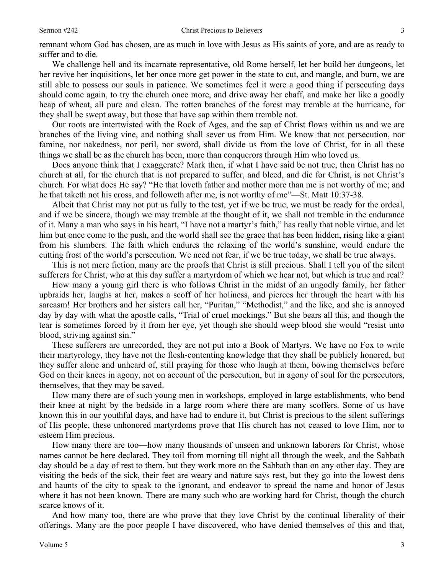remnant whom God has chosen, are as much in love with Jesus as His saints of yore, and are as ready to suffer and to die.

We challenge hell and its incarnate representative, old Rome herself, let her build her dungeons, let her revive her inquisitions, let her once more get power in the state to cut, and mangle, and burn, we are still able to possess our souls in patience. We sometimes feel it were a good thing if persecuting days should come again, to try the church once more, and drive away her chaff, and make her like a goodly heap of wheat, all pure and clean. The rotten branches of the forest may tremble at the hurricane, for they shall be swept away, but those that have sap within them tremble not.

Our roots are intertwisted with the Rock of Ages, and the sap of Christ flows within us and we are branches of the living vine, and nothing shall sever us from Him. We know that not persecution, nor famine, nor nakedness, nor peril, nor sword, shall divide us from the love of Christ, for in all these things we shall be as the church has been, more than conquerors through Him who loved us.

Does anyone think that I exaggerate? Mark then, if what I have said be not true, then Christ has no church at all, for the church that is not prepared to suffer, and bleed, and die for Christ, is not Christ's church. For what does He say? "He that loveth father and mother more than me is not worthy of me; and he that taketh not his cross, and followeth after me, is not worthy of me"—St. Matt 10:37-38.

Albeit that Christ may not put us fully to the test, yet if we be true, we must be ready for the ordeal, and if we be sincere, though we may tremble at the thought of it, we shall not tremble in the endurance of it. Many a man who says in his heart, "I have not a martyr's faith," has really that noble virtue, and let him but once come to the push, and the world shall see the grace that has been hidden, rising like a giant from his slumbers. The faith which endures the relaxing of the world's sunshine, would endure the cutting frost of the world's persecution. We need not fear, if we be true today, we shall be true always.

This is not mere fiction, many are the proofs that Christ is still precious. Shall I tell you of the silent sufferers for Christ, who at this day suffer a martyrdom of which we hear not, but which is true and real?

How many a young girl there is who follows Christ in the midst of an ungodly family, her father upbraids her, laughs at her, makes a scoff of her holiness, and pierces her through the heart with his sarcasm! Her brothers and her sisters call her, "Puritan," "Methodist," and the like, and she is annoyed day by day with what the apostle calls, "Trial of cruel mockings." But she bears all this, and though the tear is sometimes forced by it from her eye, yet though she should weep blood she would "resist unto blood, striving against sin."

These sufferers are unrecorded, they are not put into a Book of Martyrs. We have no Fox to write their martyrology, they have not the flesh-contenting knowledge that they shall be publicly honored, but they suffer alone and unheard of, still praying for those who laugh at them, bowing themselves before God on their knees in agony, not on account of the persecution, but in agony of soul for the persecutors, themselves, that they may be saved.

How many there are of such young men in workshops, employed in large establishments, who bend their knee at night by the bedside in a large room where there are many scoffers. Some of us have known this in our youthful days, and have had to endure it, but Christ is precious to the silent sufferings of His people, these unhonored martyrdoms prove that His church has not ceased to love Him, nor to esteem Him precious.

How many there are too—how many thousands of unseen and unknown laborers for Christ, whose names cannot be here declared. They toil from morning till night all through the week, and the Sabbath day should be a day of rest to them, but they work more on the Sabbath than on any other day. They are visiting the beds of the sick, their feet are weary and nature says rest, but they go into the lowest dens and haunts of the city to speak to the ignorant, and endeavor to spread the name and honor of Jesus where it has not been known. There are many such who are working hard for Christ, though the church scarce knows of it.

And how many too, there are who prove that they love Christ by the continual liberality of their offerings. Many are the poor people I have discovered, who have denied themselves of this and that,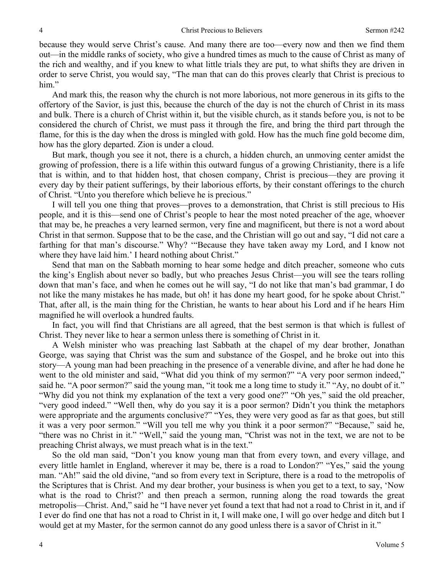because they would serve Christ's cause. And many there are too—every now and then we find them out—in the middle ranks of society, who give a hundred times as much to the cause of Christ as many of the rich and wealthy, and if you knew to what little trials they are put, to what shifts they are driven in order to serve Christ, you would say, "The man that can do this proves clearly that Christ is precious to him."

And mark this, the reason why the church is not more laborious, not more generous in its gifts to the offertory of the Savior, is just this, because the church of the day is not the church of Christ in its mass and bulk. There is a church of Christ within it, but the visible church, as it stands before you, is not to be considered the church of Christ, we must pass it through the fire, and bring the third part through the flame, for this is the day when the dross is mingled with gold. How has the much fine gold become dim, how has the glory departed. Zion is under a cloud.

But mark, though you see it not, there is a church, a hidden church, an unmoving center amidst the growing of profession, there is a life within this outward fungus of a growing Christianity, there is a life that is within, and to that hidden host, that chosen company, Christ is precious—they are proving it every day by their patient sufferings, by their laborious efforts, by their constant offerings to the church of Christ. "Unto you therefore which believe he is precious."

I will tell you one thing that proves—proves to a demonstration, that Christ is still precious to His people, and it is this—send one of Christ's people to hear the most noted preacher of the age, whoever that may be, he preaches a very learned sermon, very fine and magnificent, but there is not a word about Christ in that sermon. Suppose that to be the case, and the Christian will go out and say, "I did not care a farthing for that man's discourse." Why? '"Because they have taken away my Lord, and I know not where they have laid him.' I heard nothing about Christ."

Send that man on the Sabbath morning to hear some hedge and ditch preacher, someone who cuts the king's English about never so badly, but who preaches Jesus Christ—you will see the tears rolling down that man's face, and when he comes out he will say, "I do not like that man's bad grammar, I do not like the many mistakes he has made, but oh! it has done my heart good, for he spoke about Christ." That, after all, is the main thing for the Christian, he wants to hear about his Lord and if he hears Him magnified he will overlook a hundred faults.

In fact, you will find that Christians are all agreed, that the best sermon is that which is fullest of Christ. They never like to hear a sermon unless there is something of Christ in it.

A Welsh minister who was preaching last Sabbath at the chapel of my dear brother, Jonathan George, was saying that Christ was the sum and substance of the Gospel, and he broke out into this story—A young man had been preaching in the presence of a venerable divine, and after he had done he went to the old minister and said, "What did you think of my sermon?" "A very poor sermon indeed," said he. "A poor sermon?" said the young man, "it took me a long time to study it." "Ay, no doubt of it." "Why did you not think my explanation of the text a very good one?" "Oh yes," said the old preacher, "very good indeed." "Well then, why do you say it is a poor sermon? Didn't you think the metaphors were appropriate and the arguments conclusive?" "Yes, they were very good as far as that goes, but still it was a very poor sermon." "Will you tell me why you think it a poor sermon?" "Because," said he, "there was no Christ in it." "Well," said the young man, "Christ was not in the text, we are not to be preaching Christ always, we must preach what is in the text."

So the old man said, "Don't you know young man that from every town, and every village, and every little hamlet in England, wherever it may be, there is a road to London?" "Yes," said the young man. "Ah!" said the old divine, "and so from every text in Scripture, there is a road to the metropolis of the Scriptures that is Christ. And my dear brother, your business is when you get to a text, to say, 'Now what is the road to Christ?' and then preach a sermon, running along the road towards the great metropolis—Christ. And," said he "I have never yet found a text that had not a road to Christ in it, and if I ever do find one that has not a road to Christ in it, I will make one, I will go over hedge and ditch but I would get at my Master, for the sermon cannot do any good unless there is a savor of Christ in it."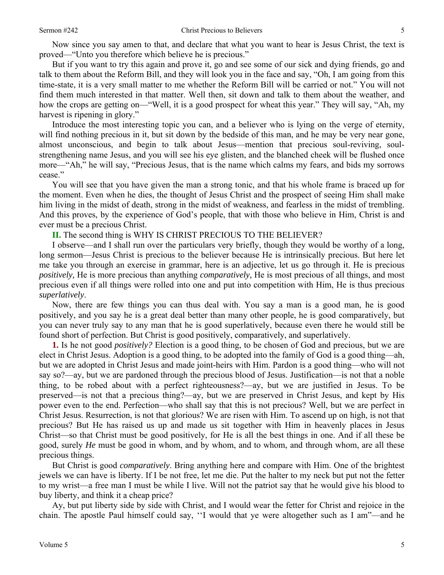Now since you say amen to that, and declare that what you want to hear is Jesus Christ, the text is proved—"Unto you therefore which believe he is precious."

But if you want to try this again and prove it, go and see some of our sick and dying friends, go and talk to them about the Reform Bill, and they will look you in the face and say, "Oh, I am going from this time-state, it is a very small matter to me whether the Reform Bill will be carried or not." You will not find them much interested in that matter. Well then, sit down and talk to them about the weather, and how the crops are getting on—"Well, it is a good prospect for wheat this year." They will say, "Ah, my harvest is ripening in glory."

Introduce the most interesting topic you can, and a believer who is lying on the verge of eternity, will find nothing precious in it, but sit down by the bedside of this man, and he may be very near gone, almost unconscious, and begin to talk about Jesus—mention that precious soul-reviving, soulstrengthening name Jesus, and you will see his eye glisten, and the blanched cheek will be flushed once more—"Ah," he will say, "Precious Jesus, that is the name which calms my fears, and bids my sorrows cease."

You will see that you have given the man a strong tonic, and that his whole frame is braced up for the moment. Even when he dies, the thought of Jesus Christ and the prospect of seeing Him shall make him living in the midst of death, strong in the midst of weakness, and fearless in the midst of trembling. And this proves, by the experience of God's people, that with those who believe in Him, Christ is and ever must be a precious Christ.

## **II.** The second thing is WHY IS CHRIST PRECIOUS TO THE BELIEVER?

I observe—and I shall run over the particulars very briefly, though they would be worthy of a long, long sermon—Jesus Christ is precious to the believer because He is intrinsically precious. But here let me take you through an exercise in grammar, here is an adjective, let us go through it. He is precious *positively,* He is more precious than anything *comparatively,* He is most precious of all things, and most precious even if all things were rolled into one and put into competition with Him, He is thus precious *superlatively*.

Now, there are few things you can thus deal with. You say a man is a good man, he is good positively, and you say he is a great deal better than many other people, he is good comparatively, but you can never truly say to any man that he is good superlatively, because even there he would still be found short of perfection. But Christ is good positively, comparatively, and superlatively.

**1.** Is he not good *positively?* Election is a good thing, to be chosen of God and precious, but we are elect in Christ Jesus. Adoption is a good thing, to be adopted into the family of God is a good thing—ah, but we are adopted in Christ Jesus and made joint-heirs with Him. Pardon is a good thing—who will not say so?—ay, but we are pardoned through the precious blood of Jesus. Justification—is not that a noble thing, to be robed about with a perfect righteousness?—ay, but we are justified in Jesus. To be preserved—is not that a precious thing?—ay, but we are preserved in Christ Jesus, and kept by His power even to the end. Perfection—who shall say that this is not precious? Well, but we are perfect in Christ Jesus. Resurrection, is not that glorious? We are risen with Him. To ascend up on high, is not that precious? But He has raised us up and made us sit together with Him in heavenly places in Jesus Christ—so that Christ must be good positively, for He is all the best things in one. And if all these be good, surely *He* must be good in whom, and by whom, and to whom, and through whom, are all these precious things.

But Christ is good *comparatively*. Bring anything here and compare with Him. One of the brightest jewels we can have is liberty. If I be not free, let me die. Put the halter to my neck but put not the fetter to my wrist—a free man I must be while I live. Will not the patriot say that he would give his blood to buy liberty, and think it a cheap price?

Ay, but put liberty side by side with Christ, and I would wear the fetter for Christ and rejoice in the chain. The apostle Paul himself could say, ''I would that ye were altogether such as I am"—and he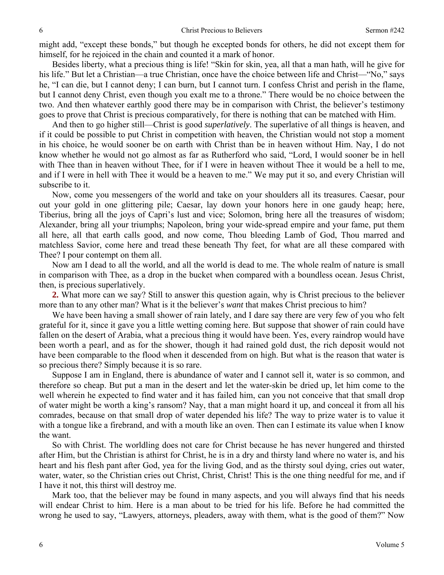might add, "except these bonds," but though he excepted bonds for others, he did not except them for himself, for he rejoiced in the chain and counted it a mark of honor.

Besides liberty, what a precious thing is life! "Skin for skin, yea, all that a man hath, will he give for his life." But let a Christian—a true Christian, once have the choice between life and Christ—"No," says he, "I can die, but I cannot deny; I can burn, but I cannot turn. I confess Christ and perish in the flame, but I cannot deny Christ, even though you exalt me to a throne." There would be no choice between the two. And then whatever earthly good there may be in comparison with Christ, the believer's testimony goes to prove that Christ is precious comparatively, for there is nothing that can be matched with Him.

And then to go higher still—Christ is good *superlatively*. The superlative of all things is heaven, and if it could be possible to put Christ in competition with heaven, the Christian would not stop a moment in his choice, he would sooner be on earth with Christ than be in heaven without Him. Nay, I do not know whether he would not go almost as far as Rutherford who said, "Lord, I would sooner be in hell with Thee than in heaven without Thee, for if I were in heaven without Thee it would be a hell to me, and if I were in hell with Thee it would be a heaven to me." We may put it so, and every Christian will subscribe to it.

Now, come you messengers of the world and take on your shoulders all its treasures. Caesar, pour out your gold in one glittering pile; Caesar, lay down your honors here in one gaudy heap; here, Tiberius, bring all the joys of Capri's lust and vice; Solomon, bring here all the treasures of wisdom; Alexander, bring all your triumphs; Napoleon, bring your wide-spread empire and your fame, put them all here, all that earth calls good, and now come, Thou bleeding Lamb of God, Thou marred and matchless Savior, come here and tread these beneath Thy feet, for what are all these compared with Thee? I pour contempt on them all.

Now am I dead to all the world, and all the world is dead to me. The whole realm of nature is small in comparison with Thee, as a drop in the bucket when compared with a boundless ocean. Jesus Christ, then, is precious superlatively.

**2.** What more can we say? Still to answer this question again, why is Christ precious to the believer more than to any other man? What is it the believer's *want* that makes Christ precious to him?

We have been having a small shower of rain lately, and I dare say there are very few of you who felt grateful for it, since it gave you a little wetting coming here. But suppose that shower of rain could have fallen on the desert of Arabia, what a precious thing it would have been. Yes, every raindrop would have been worth a pearl, and as for the shower, though it had rained gold dust, the rich deposit would not have been comparable to the flood when it descended from on high. But what is the reason that water is so precious there? Simply because it is so rare.

Suppose I am in England, there is abundance of water and I cannot sell it, water is so common, and therefore so cheap. But put a man in the desert and let the water-skin be dried up, let him come to the well wherein he expected to find water and it has failed him, can you not conceive that that small drop of water might be worth a king's ransom? Nay, that a man might hoard it up, and conceal it from all his comrades, because on that small drop of water depended his life? The way to prize water is to value it with a tongue like a firebrand, and with a mouth like an oven. Then can I estimate its value when I know the want.

So with Christ. The worldling does not care for Christ because he has never hungered and thirsted after Him, but the Christian is athirst for Christ, he is in a dry and thirsty land where no water is, and his heart and his flesh pant after God, yea for the living God, and as the thirsty soul dying, cries out water, water, water, so the Christian cries out Christ, Christ, Christ! This is the one thing needful for me, and if I have it not, this thirst will destroy me.

Mark too, that the believer may be found in many aspects, and you will always find that his needs will endear Christ to him. Here is a man about to be tried for his life. Before he had committed the wrong he used to say, "Lawyers, attorneys, pleaders, away with them, what is the good of them?" Now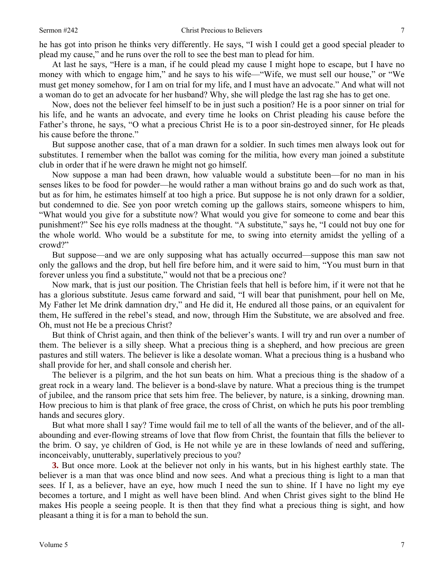he has got into prison he thinks very differently. He says, "I wish I could get a good special pleader to plead my cause," and he runs over the roll to see the best man to plead for him.

At last he says, "Here is a man, if he could plead my cause I might hope to escape, but I have no money with which to engage him," and he says to his wife—"Wife, we must sell our house," or "We must get money somehow, for I am on trial for my life, and I must have an advocate." And what will not a woman do to get an advocate for her husband? Why, she will pledge the last rag she has to get one.

Now, does not the believer feel himself to be in just such a position? He is a poor sinner on trial for his life, and he wants an advocate, and every time he looks on Christ pleading his cause before the Father's throne, he says, "O what a precious Christ He is to a poor sin-destroyed sinner, for He pleads his cause before the throne."

But suppose another case, that of a man drawn for a soldier. In such times men always look out for substitutes. I remember when the ballot was coming for the militia, how every man joined a substitute club in order that if he were drawn he might not go himself.

Now suppose a man had been drawn, how valuable would a substitute been—for no man in his senses likes to be food for powder—he would rather a man without brains go and do such work as that, but as for him, he estimates himself at too high a price. But suppose he is not only drawn for a soldier, but condemned to die. See yon poor wretch coming up the gallows stairs, someone whispers to him, "What would you give for a substitute now? What would you give for someone to come and bear this punishment?" See his eye rolls madness at the thought. "A substitute," says he, "I could not buy one for the whole world. Who would be a substitute for me, to swing into eternity amidst the yelling of a crowd?"

But suppose—and we are only supposing what has actually occurred—suppose this man saw not only the gallows and the drop, but hell fire before him, and it were said to him, "You must burn in that forever unless you find a substitute," would not that be a precious one?

Now mark, that is just our position. The Christian feels that hell is before him, if it were not that he has a glorious substitute. Jesus came forward and said, "I will bear that punishment, pour hell on Me, My Father let Me drink damnation dry," and He did it, He endured all those pains, or an equivalent for them, He suffered in the rebel's stead, and now, through Him the Substitute, we are absolved and free. Oh, must not He be a precious Christ?

But think of Christ again, and then think of the believer's wants. I will try and run over a number of them. The believer is a silly sheep. What a precious thing is a shepherd, and how precious are green pastures and still waters. The believer is like a desolate woman. What a precious thing is a husband who shall provide for her, and shall console and cherish her.

The believer is a pilgrim, and the hot sun beats on him. What a precious thing is the shadow of a great rock in a weary land. The believer is a bond-slave by nature. What a precious thing is the trumpet of jubilee, and the ransom price that sets him free. The believer, by nature, is a sinking, drowning man. How precious to him is that plank of free grace, the cross of Christ, on which he puts his poor trembling hands and secures glory.

But what more shall I say? Time would fail me to tell of all the wants of the believer, and of the allabounding and ever-flowing streams of love that flow from Christ, the fountain that fills the believer to the brim. O say, ye children of God, is He not while ye are in these lowlands of need and suffering, inconceivably, unutterably, superlatively precious to you?

**3.** But once more. Look at the believer not only in his wants, but in his highest earthly state. The believer is a man that was once blind and now sees. And what a precious thing is light to a man that sees. If I, as a believer, have an eye, how much I need the sun to shine. If I have no light my eye becomes a torture, and I might as well have been blind. And when Christ gives sight to the blind He makes His people a seeing people. It is then that they find what a precious thing is sight, and how pleasant a thing it is for a man to behold the sun.

7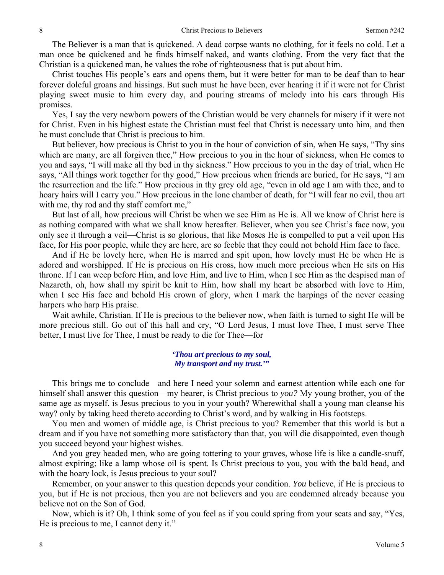The Believer is a man that is quickened. A dead corpse wants no clothing, for it feels no cold. Let a man once be quickened and he finds himself naked, and wants clothing. From the very fact that the Christian is a quickened man, he values the robe of righteousness that is put about him.

Christ touches His people's ears and opens them, but it were better for man to be deaf than to hear forever doleful groans and hissings. But such must he have been, ever hearing it if it were not for Christ playing sweet music to him every day, and pouring streams of melody into his ears through His promises.

Yes, I say the very newborn powers of the Christian would be very channels for misery if it were not for Christ. Even in his highest estate the Christian must feel that Christ is necessary unto him, and then he must conclude that Christ is precious to him.

But believer, how precious is Christ to you in the hour of conviction of sin, when He says, "Thy sins which are many, are all forgiven thee," How precious to you in the hour of sickness, when He comes to you and says, "I will make all thy bed in thy sickness." How precious to you in the day of trial, when He says, "All things work together for thy good," How precious when friends are buried, for He says, "I am the resurrection and the life." How precious in thy grey old age, "even in old age I am with thee, and to hoary hairs will I carry you." How precious in the lone chamber of death, for "I will fear no evil, thou art with me, thy rod and thy staff comfort me,"

But last of all, how precious will Christ be when we see Him as He is. All we know of Christ here is as nothing compared with what we shall know hereafter. Believer, when you see Christ's face now, you only see it through a veil—Christ is so glorious, that like Moses He is compelled to put a veil upon His face, for His poor people, while they are here, are so feeble that they could not behold Him face to face.

And if He be lovely here, when He is marred and spit upon, how lovely must He be when He is adored and worshipped. If He is precious on His cross, how much more precious when He sits on His throne. If I can weep before Him, and love Him, and live to Him, when I see Him as the despised man of Nazareth, oh, how shall my spirit be knit to Him, how shall my heart be absorbed with love to Him, when I see His face and behold His crown of glory, when I mark the harpings of the never ceasing harpers who harp His praise.

Wait awhile, Christian. If He is precious to the believer now, when faith is turned to sight He will be more precious still. Go out of this hall and cry, "O Lord Jesus, I must love Thee, I must serve Thee better, I must live for Thee, I must be ready to die for Thee—for

> *'Thou art precious to my soul, My transport and my trust.'"*

This brings me to conclude—and here I need your solemn and earnest attention while each one for himself shall answer this question—my hearer, is Christ precious to *you?* My young brother, you of the same age as myself, is Jesus precious to you in your youth? Wherewithal shall a young man cleanse his way? only by taking heed thereto according to Christ's word, and by walking in His footsteps.

You men and women of middle age, is Christ precious to you? Remember that this world is but a dream and if you have not something more satisfactory than that, you will die disappointed, even though you succeed beyond your highest wishes.

And you grey headed men, who are going tottering to your graves, whose life is like a candle-snuff, almost expiring; like a lamp whose oil is spent. Is Christ precious to you, you with the bald head, and with the hoary lock, is Jesus precious to your soul?

Remember, on your answer to this question depends your condition. *You* believe, if He is precious to you, but if He is not precious, then you are not believers and you are condemned already because you believe not on the Son of God.

Now, which is it? Oh, I think some of you feel as if you could spring from your seats and say, "Yes, He is precious to me, I cannot deny it."